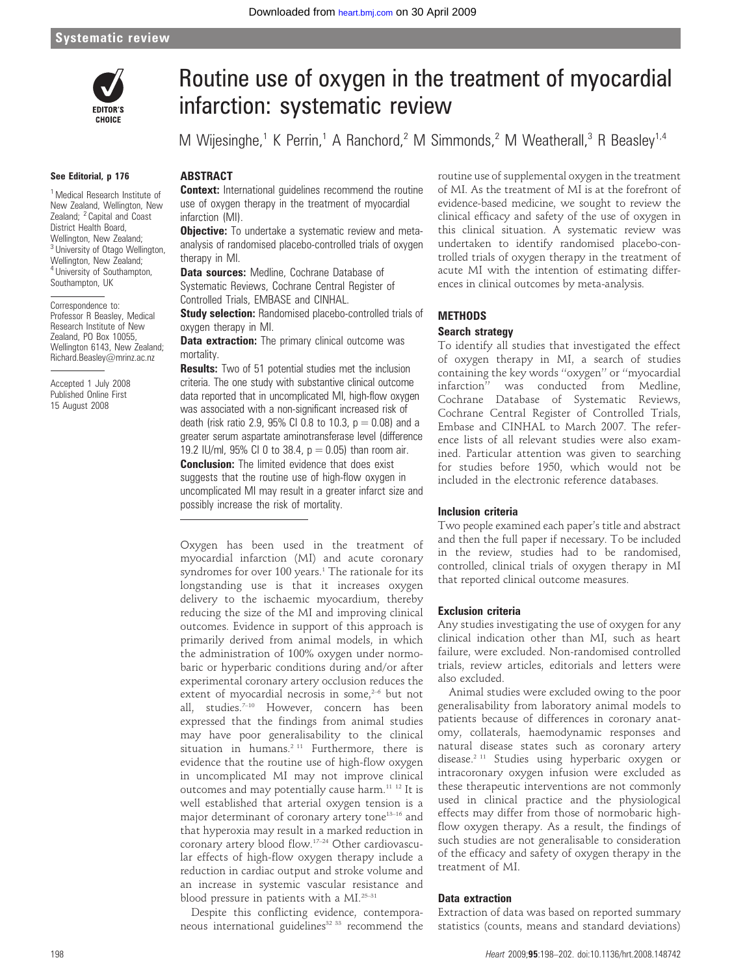

#### See Editorial, p 176

<sup>1</sup> Medical Research Institute of New Zealand, Wellington, New Zealand; <sup>2</sup> Capital and Coast District Health Board, Wellington, New Zealand; <sup>3</sup> University of Otago Wellington, Wellington, New Zealand; <sup>4</sup> University of Southampton, Southampton, UK

Correspondence to: Professor R Beasley, Medical Research Institute of New Zealand, PO Box 10055, Wellington 6143, New Zealand; Richard.Beasley@mrinz.ac.nz

Accepted 1 July 2008 Published Online First 15 August 2008

# Routine use of oxygen in the treatment of myocardial infarction: systematic review

M Wijesinghe,<sup>1</sup> K Perrin,<sup>1</sup> A Ranchord,<sup>2</sup> M Simmonds,<sup>2</sup> M Weatherall,<sup>3</sup> R Beasley<sup>1,4</sup>

# ABSTRACT

**Context:** International guidelines recommend the routine use of oxygen therapy in the treatment of myocardial infarction (MI).

**Objective:** To undertake a systematic review and metaanalysis of randomised placebo-controlled trials of oxygen therapy in MI.

**Data sources:** Medline, Cochrane Database of Systematic Reviews, Cochrane Central Register of Controlled Trials, EMBASE and CINHAL.

**Study selection:** Randomised placebo-controlled trials of oxygen therapy in MI.

**Data extraction:** The primary clinical outcome was mortality.

**Results:** Two of 51 potential studies met the inclusion criteria. The one study with substantive clinical outcome data reported that in uncomplicated MI, high-flow oxygen was associated with a non-significant increased risk of death (risk ratio 2.9, 95% CI 0.8 to 10.3,  $p = 0.08$ ) and a greater serum aspartate aminotransferase level (difference 19.2 IU/ml, 95% CI 0 to 38.4,  $p = 0.05$ ) than room air. **Conclusion:** The limited evidence that does exist suggests that the routine use of high-flow oxygen in uncomplicated MI may result in a greater infarct size and possibly increase the risk of mortality.

Oxygen has been used in the treatment of myocardial infarction (MI) and acute coronary syndromes for over 100 years.<sup>1</sup> The rationale for its longstanding use is that it increases oxygen delivery to the ischaemic myocardium, thereby reducing the size of the MI and improving clinical outcomes. Evidence in support of this approach is primarily derived from animal models, in which the administration of 100% oxygen under normobaric or hyperbaric conditions during and/or after experimental coronary artery occlusion reduces the extent of myocardial necrosis in some, $2-6$  but not all, studies.<sup>7-10</sup> However, concern has been expressed that the findings from animal studies may have poor generalisability to the clinical situation in humans.<sup>2 11</sup> Furthermore, there is evidence that the routine use of high-flow oxygen in uncomplicated MI may not improve clinical outcomes and may potentially cause harm.<sup>11 12</sup> It is well established that arterial oxygen tension is a major determinant of coronary artery tone<sup>13-16</sup> and that hyperoxia may result in a marked reduction in coronary artery blood flow.17–24 Other cardiovascular effects of high-flow oxygen therapy include a reduction in cardiac output and stroke volume and an increase in systemic vascular resistance and blood pressure in patients with a MI.<sup>25-31</sup>

Despite this conflicting evidence, contemporaneous international guidelines<sup>32 33</sup> recommend the

routine use of supplemental oxygen in the treatment of MI. As the treatment of MI is at the forefront of evidence-based medicine, we sought to review the clinical efficacy and safety of the use of oxygen in this clinical situation. A systematic review was undertaken to identify randomised placebo-controlled trials of oxygen therapy in the treatment of acute MI with the intention of estimating differences in clinical outcomes by meta-analysis.

# **METHODS**

#### Search strategy

To identify all studies that investigated the effect of oxygen therapy in MI, a search of studies containing the key words ''oxygen'' or ''myocardial infarction'' was conducted from Medline, Cochrane Database of Systematic Reviews, Cochrane Central Register of Controlled Trials, Embase and CINHAL to March 2007. The reference lists of all relevant studies were also examined. Particular attention was given to searching for studies before 1950, which would not be included in the electronic reference databases.

# Inclusion criteria

Two people examined each paper's title and abstract and then the full paper if necessary. To be included in the review, studies had to be randomised, controlled, clinical trials of oxygen therapy in MI that reported clinical outcome measures.

# Exclusion criteria

Any studies investigating the use of oxygen for any clinical indication other than MI, such as heart failure, were excluded. Non-randomised controlled trials, review articles, editorials and letters were also excluded.

Animal studies were excluded owing to the poor generalisability from laboratory animal models to patients because of differences in coronary anatomy, collaterals, haemodynamic responses and natural disease states such as coronary artery disease.2 11 Studies using hyperbaric oxygen or intracoronary oxygen infusion were excluded as these therapeutic interventions are not commonly used in clinical practice and the physiological effects may differ from those of normobaric highflow oxygen therapy. As a result, the findings of such studies are not generalisable to consideration of the efficacy and safety of oxygen therapy in the treatment of MI.

# Data extraction

Extraction of data was based on reported summary statistics (counts, means and standard deviations)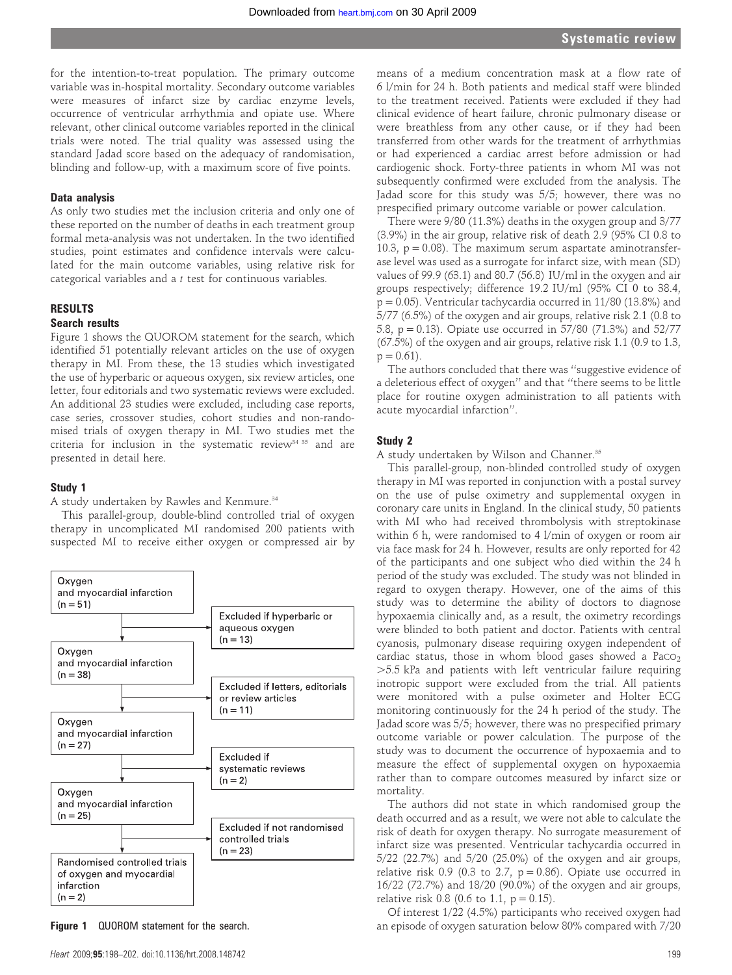for the intention-to-treat population. The primary outcome variable was in-hospital mortality. Secondary outcome variables were measures of infarct size by cardiac enzyme levels, occurrence of ventricular arrhythmia and opiate use. Where relevant, other clinical outcome variables reported in the clinical trials were noted. The trial quality was assessed using the standard Jadad score based on the adequacy of randomisation, blinding and follow-up, with a maximum score of five points.

#### Data analysis

As only two studies met the inclusion criteria and only one of these reported on the number of deaths in each treatment group formal meta-analysis was not undertaken. In the two identified studies, point estimates and confidence intervals were calculated for the main outcome variables, using relative risk for categorical variables and a t test for continuous variables.

## **RESULTS**

## Search results

Figure 1 shows the QUOROM statement for the search, which identified 51 potentially relevant articles on the use of oxygen therapy in MI. From these, the 13 studies which investigated the use of hyperbaric or aqueous oxygen, six review articles, one letter, four editorials and two systematic reviews were excluded. An additional 23 studies were excluded, including case reports, case series, crossover studies, cohort studies and non-randomised trials of oxygen therapy in MI. Two studies met the criteria for inclusion in the systematic review<sup>34 35</sup> and are presented in detail here.

#### Study 1

A study undertaken by Rawles and Kenmure.<sup>34</sup>

This parallel-group, double-blind controlled trial of oxygen therapy in uncomplicated MI randomised 200 patients with suspected MI to receive either oxygen or compressed air by



means of a medium concentration mask at a flow rate of 6 l/min for 24 h. Both patients and medical staff were blinded to the treatment received. Patients were excluded if they had clinical evidence of heart failure, chronic pulmonary disease or were breathless from any other cause, or if they had been transferred from other wards for the treatment of arrhythmias or had experienced a cardiac arrest before admission or had cardiogenic shock. Forty-three patients in whom MI was not subsequently confirmed were excluded from the analysis. The Jadad score for this study was 5/5; however, there was no prespecified primary outcome variable or power calculation.

There were 9/80 (11.3%) deaths in the oxygen group and 3/77 (3.9%) in the air group, relative risk of death 2.9 (95% CI 0.8 to 10.3,  $p = 0.08$ ). The maximum serum aspartate aminotransferase level was used as a surrogate for infarct size, with mean (SD) values of 99.9 (63.1) and 80.7 (56.8) IU/ml in the oxygen and air groups respectively; difference 19.2 IU/ml (95% CI 0 to 38.4,  $p = 0.05$ ). Ventricular tachycardia occurred in 11/80 (13.8%) and 5/77 (6.5%) of the oxygen and air groups, relative risk 2.1 (0.8 to 5.8, p = 0.13). Opiate use occurred in 57/80 (71.3%) and 52/77 (67.5%) of the oxygen and air groups, relative risk 1.1 (0.9 to 1.3,  $p = 0.61$ ).

The authors concluded that there was ''suggestive evidence of a deleterious effect of oxygen'' and that ''there seems to be little place for routine oxygen administration to all patients with acute myocardial infarction''.

#### Study 2

A study undertaken by Wilson and Channer.<sup>35</sup>

This parallel-group, non-blinded controlled study of oxygen therapy in MI was reported in conjunction with a postal survey on the use of pulse oximetry and supplemental oxygen in coronary care units in England. In the clinical study, 50 patients with MI who had received thrombolysis with streptokinase within 6 h, were randomised to 4 l/min of oxygen or room air via face mask for 24 h. However, results are only reported for 42 of the participants and one subject who died within the 24 h period of the study was excluded. The study was not blinded in regard to oxygen therapy. However, one of the aims of this study was to determine the ability of doctors to diagnose hypoxaemia clinically and, as a result, the oximetry recordings were blinded to both patient and doctor. Patients with central cyanosis, pulmonary disease requiring oxygen independent of cardiac status, those in whom blood gases showed a  $PaccO_2$ .5.5 kPa and patients with left ventricular failure requiring inotropic support were excluded from the trial. All patients were monitored with a pulse oximeter and Holter ECG monitoring continuously for the 24 h period of the study. The Jadad score was 5/5; however, there was no prespecified primary outcome variable or power calculation. The purpose of the study was to document the occurrence of hypoxaemia and to measure the effect of supplemental oxygen on hypoxaemia rather than to compare outcomes measured by infarct size or mortality.

The authors did not state in which randomised group the death occurred and as a result, we were not able to calculate the risk of death for oxygen therapy. No surrogate measurement of infarct size was presented. Ventricular tachycardia occurred in 5/22 (22.7%) and 5/20 (25.0%) of the oxygen and air groups, relative risk 0.9 (0.3 to 2.7,  $p = 0.86$ ). Opiate use occurred in 16/22 (72.7%) and 18/20 (90.0%) of the oxygen and air groups, relative risk 0.8 (0.6 to 1.1,  $p = 0.15$ ).

Of interest 1/22 (4.5%) participants who received oxygen had Figure 1 QUOROM statement for the search. The search and episode of oxygen saturation below 80% compared with 7/20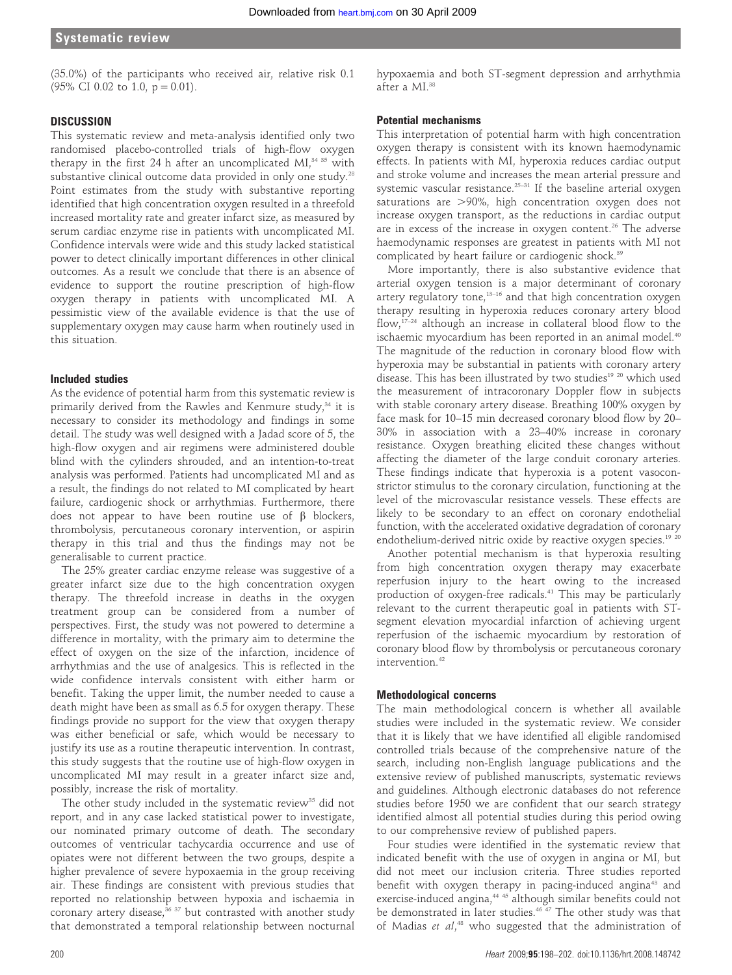(35.0%) of the participants who received air, relative risk 0.1  $(95\% \text{ CI } 0.02 \text{ to } 1.0, \text{ p} = 0.01).$ 

#### DISCUSSION

This systematic review and meta-analysis identified only two randomised placebo-controlled trials of high-flow oxygen therapy in the first 24 h after an uncomplicated MI, $34$  35 with substantive clinical outcome data provided in only one study.<sup>28</sup> Point estimates from the study with substantive reporting identified that high concentration oxygen resulted in a threefold increased mortality rate and greater infarct size, as measured by serum cardiac enzyme rise in patients with uncomplicated MI. Confidence intervals were wide and this study lacked statistical power to detect clinically important differences in other clinical outcomes. As a result we conclude that there is an absence of evidence to support the routine prescription of high-flow oxygen therapy in patients with uncomplicated MI. A pessimistic view of the available evidence is that the use of supplementary oxygen may cause harm when routinely used in this situation.

#### Included studies

As the evidence of potential harm from this systematic review is primarily derived from the Rawles and Kenmure study,<sup>34</sup> it is necessary to consider its methodology and findings in some detail. The study was well designed with a Jadad score of 5, the high-flow oxygen and air regimens were administered double blind with the cylinders shrouded, and an intention-to-treat analysis was performed. Patients had uncomplicated MI and as a result, the findings do not related to MI complicated by heart failure, cardiogenic shock or arrhythmias. Furthermore, there does not appear to have been routine use of  $\beta$  blockers, thrombolysis, percutaneous coronary intervention, or aspirin therapy in this trial and thus the findings may not be generalisable to current practice.

The 25% greater cardiac enzyme release was suggestive of a greater infarct size due to the high concentration oxygen therapy. The threefold increase in deaths in the oxygen treatment group can be considered from a number of perspectives. First, the study was not powered to determine a difference in mortality, with the primary aim to determine the effect of oxygen on the size of the infarction, incidence of arrhythmias and the use of analgesics. This is reflected in the wide confidence intervals consistent with either harm or benefit. Taking the upper limit, the number needed to cause a death might have been as small as 6.5 for oxygen therapy. These findings provide no support for the view that oxygen therapy was either beneficial or safe, which would be necessary to justify its use as a routine therapeutic intervention. In contrast, this study suggests that the routine use of high-flow oxygen in uncomplicated MI may result in a greater infarct size and, possibly, increase the risk of mortality.

The other study included in the systematic review<sup>35</sup> did not report, and in any case lacked statistical power to investigate, our nominated primary outcome of death. The secondary outcomes of ventricular tachycardia occurrence and use of opiates were not different between the two groups, despite a higher prevalence of severe hypoxaemia in the group receiving air. These findings are consistent with previous studies that reported no relationship between hypoxia and ischaemia in coronary artery disease, $36 \frac{37}{7}$  but contrasted with another study that demonstrated a temporal relationship between nocturnal hypoxaemia and both ST-segment depression and arrhythmia after a MI.38

## Potential mechanisms

This interpretation of potential harm with high concentration oxygen therapy is consistent with its known haemodynamic effects. In patients with MI, hyperoxia reduces cardiac output and stroke volume and increases the mean arterial pressure and systemic vascular resistance.<sup>25-31</sup> If the baseline arterial oxygen saturations are  $>90\%$ , high concentration oxygen does not increase oxygen transport, as the reductions in cardiac output are in excess of the increase in oxygen content.<sup>26</sup> The adverse haemodynamic responses are greatest in patients with MI not complicated by heart failure or cardiogenic shock.<sup>39</sup>

More importantly, there is also substantive evidence that arterial oxygen tension is a major determinant of coronary artery regulatory tone,<sup>13-16</sup> and that high concentration oxygen therapy resulting in hyperoxia reduces coronary artery blood flow, $17-24$  although an increase in collateral blood flow to the ischaemic myocardium has been reported in an animal model.<sup>40</sup> The magnitude of the reduction in coronary blood flow with hyperoxia may be substantial in patients with coronary artery disease. This has been illustrated by two studies<sup>19 20</sup> which used the measurement of intracoronary Doppler flow in subjects with stable coronary artery disease. Breathing 100% oxygen by face mask for 10–15 min decreased coronary blood flow by 20– 30% in association with a 23–40% increase in coronary resistance. Oxygen breathing elicited these changes without affecting the diameter of the large conduit coronary arteries. These findings indicate that hyperoxia is a potent vasoconstrictor stimulus to the coronary circulation, functioning at the level of the microvascular resistance vessels. These effects are likely to be secondary to an effect on coronary endothelial function, with the accelerated oxidative degradation of coronary endothelium-derived nitric oxide by reactive oxygen species.<sup>19 20</sup>

Another potential mechanism is that hyperoxia resulting from high concentration oxygen therapy may exacerbate reperfusion injury to the heart owing to the increased production of oxygen-free radicals.41 This may be particularly relevant to the current therapeutic goal in patients with STsegment elevation myocardial infarction of achieving urgent reperfusion of the ischaemic myocardium by restoration of coronary blood flow by thrombolysis or percutaneous coronary intervention.<sup>42</sup>

#### Methodological concerns

The main methodological concern is whether all available studies were included in the systematic review. We consider that it is likely that we have identified all eligible randomised controlled trials because of the comprehensive nature of the search, including non-English language publications and the extensive review of published manuscripts, systematic reviews and guidelines. Although electronic databases do not reference studies before 1950 we are confident that our search strategy identified almost all potential studies during this period owing to our comprehensive review of published papers.

Four studies were identified in the systematic review that indicated benefit with the use of oxygen in angina or MI, but did not meet our inclusion criteria. Three studies reported benefit with oxygen therapy in pacing-induced angina<sup>43</sup> and exercise-induced angina,<sup>44 45</sup> although similar benefits could not be demonstrated in later studies.<sup>46 47</sup> The other study was that of Madias et al,<sup>48</sup> who suggested that the administration of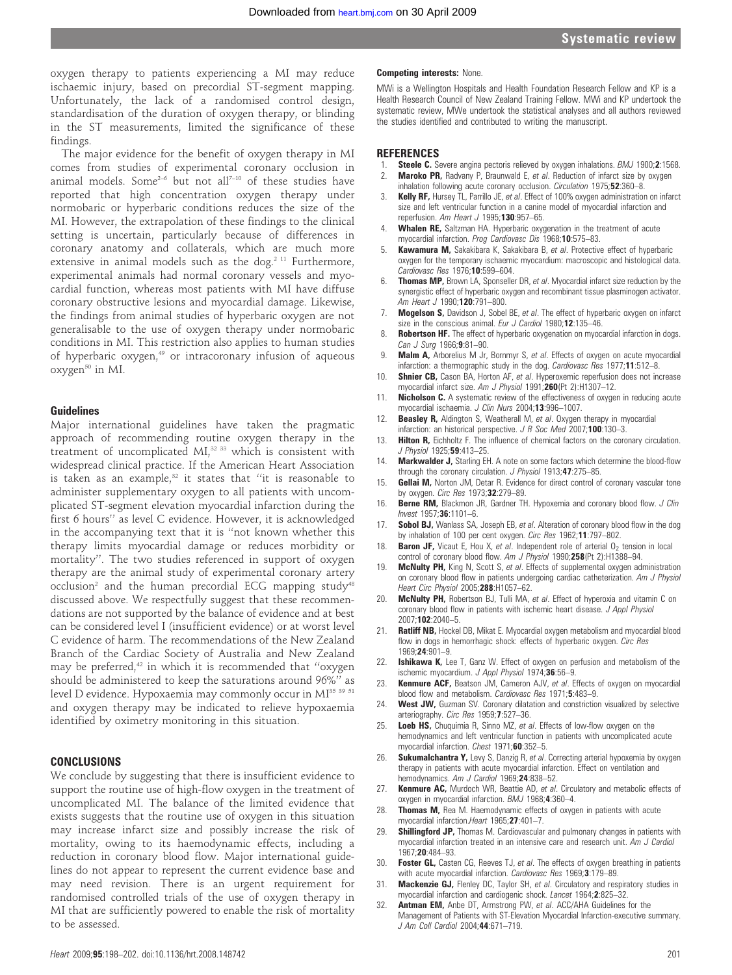oxygen therapy to patients experiencing a MI may reduce ischaemic injury, based on precordial ST-segment mapping. Unfortunately, the lack of a randomised control design, standardisation of the duration of oxygen therapy, or blinding in the ST measurements, limited the significance of these findings.

The major evidence for the benefit of oxygen therapy in MI comes from studies of experimental coronary occlusion in animal models. Some<sup>2-6</sup> but not all<sup>7-10</sup> of these studies have reported that high concentration oxygen therapy under normobaric or hyperbaric conditions reduces the size of the MI. However, the extrapolation of these findings to the clinical setting is uncertain, particularly because of differences in coronary anatomy and collaterals, which are much more extensive in animal models such as the dog.<sup>2 11</sup> Furthermore, experimental animals had normal coronary vessels and myocardial function, whereas most patients with MI have diffuse coronary obstructive lesions and myocardial damage. Likewise, the findings from animal studies of hyperbaric oxygen are not generalisable to the use of oxygen therapy under normobaric conditions in MI. This restriction also applies to human studies of hyperbaric oxygen,<sup>49</sup> or intracoronary infusion of aqueous oxygen<sup>50</sup> in MI.

#### Guidelines

Major international guidelines have taken the pragmatic approach of recommending routine oxygen therapy in the treatment of uncomplicated MI,<sup>32 33</sup> which is consistent with widespread clinical practice. If the American Heart Association is taken as an example,<sup>32</sup> it states that "it is reasonable to administer supplementary oxygen to all patients with uncomplicated ST-segment elevation myocardial infarction during the first 6 hours'' as level C evidence. However, it is acknowledged in the accompanying text that it is ''not known whether this therapy limits myocardial damage or reduces morbidity or mortality''. The two studies referenced in support of oxygen therapy are the animal study of experimental coronary artery occlusion<sup>2</sup> and the human precordial ECG mapping study<sup>48</sup> discussed above. We respectfully suggest that these recommendations are not supported by the balance of evidence and at best can be considered level I (insufficient evidence) or at worst level C evidence of harm. The recommendations of the New Zealand Branch of the Cardiac Society of Australia and New Zealand may be preferred,<sup>42</sup> in which it is recommended that "oxygen should be administered to keep the saturations around 96%'' as level D evidence. Hypoxaemia may commonly occur in MI<sup>35 39</sup> 51 and oxygen therapy may be indicated to relieve hypoxaemia identified by oximetry monitoring in this situation.

#### **CONCLUSIONS**

We conclude by suggesting that there is insufficient evidence to support the routine use of high-flow oxygen in the treatment of uncomplicated MI. The balance of the limited evidence that exists suggests that the routine use of oxygen in this situation may increase infarct size and possibly increase the risk of mortality, owing to its haemodynamic effects, including a reduction in coronary blood flow. Major international guidelines do not appear to represent the current evidence base and may need revision. There is an urgent requirement for randomised controlled trials of the use of oxygen therapy in MI that are sufficiently powered to enable the risk of mortality to be assessed.

## Heart 2009;95:198–202. doi:10.1136/hrt.2008.148742 201

#### Competing interests: None.

MWi is a Wellington Hospitals and Health Foundation Research Fellow and KP is a Health Research Council of New Zealand Training Fellow. MWi and KP undertook the systematic review, MWe undertook the statistical analyses and all authors reviewed the studies identified and contributed to writing the manuscript.

#### **REFERENCES**

- Steele C. Severe angina pectoris relieved by oxygen inhalations. BMJ 1900;2:1568. **Maroko PR, Radvany P, Braunwald E, et al. Reduction of infarct size by oxygen**
- inhalation following acute coronary occlusion. Circulation 1975;52:360-8. 3. Kelly RF, Hursey TL, Parrillo JE, et al. Effect of 100% oxygen administration on infarct size and left ventricular function in a canine model of myocardial infarction and reperfusion. Am Heart J 1995;130:957-65.
- Whalen RE, Saltzman HA. Hyperbaric oxygenation in the treatment of acute myocardial infarction. Prog Cardiovasc Dis 1968;10:575–83.
- Kawamura M, Sakakibara K, Sakakibara B, et al. Protective effect of hyperbaric oxygen for the temporary ischaemic myocardium: macroscopic and histological data. Cardiovasc Res 1976;10:599–604.
- 6. Thomas MP, Brown LA, Sponseller DR, et al. Myocardial infarct size reduction by the synergistic effect of hyperbaric oxygen and recombinant tissue plasminogen activator. Am Heart J 1990;120:791-800.
- 7. **Mogelson S,** Davidson J, Sobel BE, et al. The effect of hyperbaric oxygen on infarct size in the conscious animal. Eur J Cardiol 1980;12:135-46.
- 8. Robertson HF. The effect of hyperbaric oxygenation on myocardial infarction in dogs. Can J Surg 1966; 9:81-90.
- 9. **Malm A,** Arborelius M Jr, Bornmyr S, et al. Effects of oxygen on acute myocardial infarction: a thermographic study in the dog. Cardiovasc Res 1977;11:512-8.
- 10. **Shnier CB,** Cason BA, Horton AF, et al. Hyperoxemic reperfusion does not increase myocardial infarct size. Am J Physiol 1991;260(Pt 2):H1307–12.
- 11. Nicholson C. A systematic review of the effectiveness of oxygen in reducing acute myocardial ischaemia. J Clin Nurs 2004;13:996-1007.
- 12. Beasley R, Aldington S, Weatherall M, et al. Oxygen therapy in myocardial infarction: an historical perspective. J R Soc Med 2007;100:130-3.
- 13. Hilton R, Eichholtz F. The influence of chemical factors on the coronary circulation. J Physiol 1925;59:413–25.
- 14. **Markwalder J,** Starling EH. A note on some factors which determine the blood-flow through the coronary circulation. J Physiol 1913;47:275-85.
- 15. **Gellai M,** Norton JM, Detar R. Evidence for direct control of coronary vascular tone by oxygen. Circ Res 1973;32:279–89.
- 16. Berne RM, Blackmon JR, Gardner TH. Hypoxemia and coronary blood flow. J Clin Invest 1957;36:1101–6.
- 17. Sobol BJ, Wanlass SA, Joseph EB, et al. Alteration of coronary blood flow in the dog by inhalation of 100 per cent oxygen. Circ Res 1962;11:797–802.
- 18. **Baron JF,** Vicaut E, Hou X, et al. Independent role of arterial  $0<sub>2</sub>$  tension in local control of coronary blood flow. Am J Physiol 1990;258(Pt 2):H1388-94.
- 19. McNulty PH, King N, Scott S, et al. Effects of supplemental oxygen administration on coronary blood flow in patients undergoing cardiac catheterization. Am J Physiol Heart Circ Physiol 2005;288:H1057–62.
- 20. McNulty PH, Robertson BJ, Tulli MA, et al. Effect of hyperoxia and vitamin C on coronary blood flow in patients with ischemic heart disease. J Appl Physiol 2007;102:2040–5.
- 21. Ratliff NB, Hockel DB, Mikat E. Myocardial oxygen metabolism and myocardial blood flow in dogs in hemorrhagic shock: effects of hyperbaric oxygen. Circ Res 1969;24:901–9.
- 22. **Ishikawa K,** Lee T, Ganz W. Effect of oxygen on perfusion and metabolism of the ischemic myocardium. J Appl Physiol 1974;36:56-9.
- 23. Kenmure ACF, Beatson JM, Cameron AJV, et al. Effects of oxygen on myocardial blood flow and metabolism. Cardiovasc Res 1971;5:483-9.
- 24. West JW, Guzman SV. Coronary dilatation and constriction visualized by selective arteriography. Circ Res 1959;7:527–36.
- 25. Loeb HS, Chuquimia R, Sinno MZ, et al. Effects of low-flow oxygen on the hemodynamics and left ventricular function in patients with uncomplicated acute myocardial infarction. Chest 1971;60:352–5.
- 26. **Sukumalchantra Y,** Levy S, Danzig R, et al. Correcting arterial hypoxemia by oxygen therapy in patients with acute myocardial infarction. Effect on ventilation and hemodynamics. Am J Cardiol 1969;24:838-52.
- 27. Kenmure AC, Murdoch WR, Beattie AD, et al. Circulatory and metabolic effects of oxygen in myocardial infarction. BMJ 1968;4:360–4.
- 28. Thomas M, Rea M. Haemodynamic effects of oxygen in patients with acute myocardial infarction.Heart 1965;27:401–7.
- 29. Shillingford JP, Thomas M. Cardiovascular and pulmonary changes in patients with myocardial infarction treated in an intensive care and research unit. Am J Cardiol 1967;20:484–93.
- 30. Foster GL, Casten CG, Reeves TJ, et al. The effects of oxygen breathing in patients with acute myocardial infarction. Cardiovasc Res 1969;3:179-89.
- 31. Mackenzie GJ, Flenley DC, Taylor SH, et al. Circulatory and respiratory studies in myocardial infarction and cardiogenic shock. Lancet 1964;2:825–32.
- 32. **Antman EM,** Anbe DT, Armstrong PW, et al. ACC/AHA Guidelines for the Management of Patients with ST-Elevation Myocardial Infarction-executive summary. J Am Coll Cardiol 2004;44:671–719.